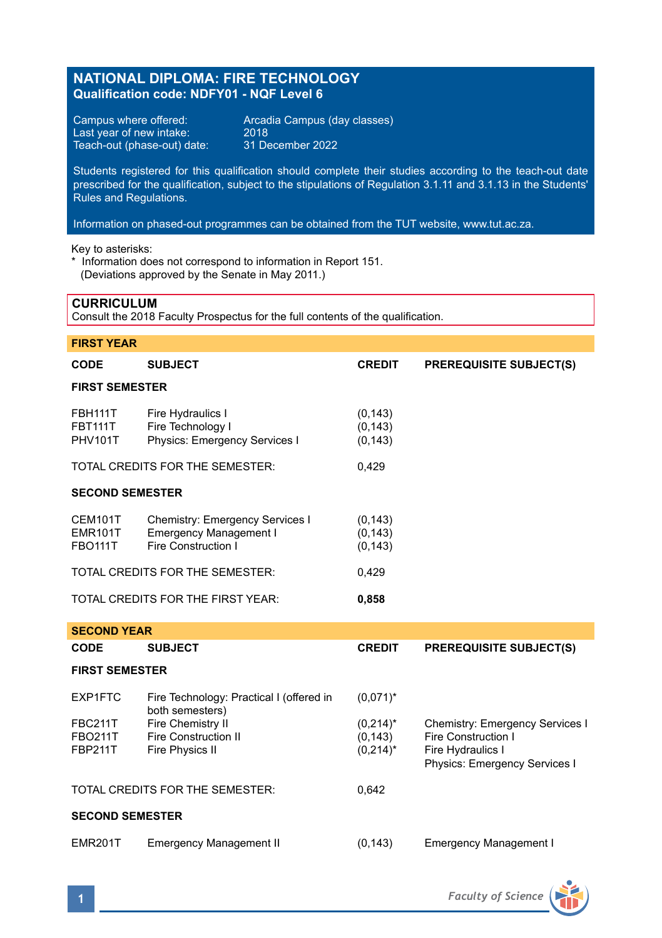# **NATIONAL DIPLOMA: FIRE TECHNOLOGY Qualification code: NDFY01 - NQF Level 6**

Last year of new intake:  $2018$ <br>Teach-out (phase-out) date: 31 December 2022 Teach-out (phase-out) date:

Campus where offered: <br>
Last year of new intake: 2018<br>
2018

Students registered for this qualification should complete their studies according to the teach-out date prescribed for the qualification, subject to the stipulations of Regulation 3.1.11 and 3.1.13 in the Students' Rules and Regulations.

Information on phased-out programmes can be obtained from the TUT website, www.tut.ac.za.

Key to asterisks:

\* Information does not correspond to information in Report 151. (Deviations approved by the Senate in May 2011.)

## **CURRICULUM**

Consult the 2018 Faculty Prospectus for the full contents of the qualification.

| <b>FIRST YEAR</b>                                  |                                                                                         |                                        |                                                                                                              |  |  |  |
|----------------------------------------------------|-----------------------------------------------------------------------------------------|----------------------------------------|--------------------------------------------------------------------------------------------------------------|--|--|--|
| <b>CODE</b>                                        | <b>SUBJECT</b>                                                                          | <b>CREDIT</b>                          | <b>PREREQUISITE SUBJECT(S)</b>                                                                               |  |  |  |
| <b>FIRST SEMESTER</b>                              |                                                                                         |                                        |                                                                                                              |  |  |  |
| <b>FBH111T</b><br><b>FBT111T</b><br><b>PHV101T</b> | Fire Hydraulics I<br>Fire Technology I<br>Physics: Emergency Services I                 | (0, 143)<br>(0, 143)<br>(0, 143)       |                                                                                                              |  |  |  |
|                                                    | TOTAL CREDITS FOR THE SEMESTER:                                                         | 0,429                                  |                                                                                                              |  |  |  |
| <b>SECOND SEMESTER</b>                             |                                                                                         |                                        |                                                                                                              |  |  |  |
| CEM101T<br><b>EMR101T</b><br><b>FBO111T</b>        | Chemistry: Emergency Services I<br><b>Emergency Management I</b><br>Fire Construction I | (0, 143)<br>(0, 143)<br>(0, 143)       |                                                                                                              |  |  |  |
| TOTAL CREDITS FOR THE SEMESTER:                    |                                                                                         | 0,429                                  |                                                                                                              |  |  |  |
| TOTAL CREDITS FOR THE FIRST YEAR:                  |                                                                                         | 0,858                                  |                                                                                                              |  |  |  |
| <b>SECOND YEAR</b>                                 |                                                                                         |                                        |                                                                                                              |  |  |  |
| <b>CODE</b>                                        | <b>SUBJECT</b>                                                                          | <b>CREDIT</b>                          | <b>PREREQUISITE SUBJECT(S)</b>                                                                               |  |  |  |
| <b>FIRST SEMESTER</b>                              |                                                                                         |                                        |                                                                                                              |  |  |  |
| EXP1FTC                                            | Fire Technology: Practical I (offered in<br>both semesters)                             | $(0,071)^*$                            |                                                                                                              |  |  |  |
| <b>FBC211T</b><br><b>FBO211T</b><br><b>FBP211T</b> | Fire Chemistry II<br><b>Fire Construction II</b><br>Fire Physics II                     | $(0,214)^*$<br>(0, 143)<br>$(0,214)^*$ | Chemistry: Emergency Services I<br>Fire Construction I<br>Fire Hydraulics I<br>Physics: Emergency Services I |  |  |  |
| TOTAL CREDITS FOR THE SEMESTER:                    |                                                                                         | 0,642                                  |                                                                                                              |  |  |  |
| <b>SECOND SEMESTER</b>                             |                                                                                         |                                        |                                                                                                              |  |  |  |
| <b>EMR201T</b>                                     | <b>Emergency Management II</b>                                                          | (0, 143)                               | <b>Emergency Management I</b>                                                                                |  |  |  |

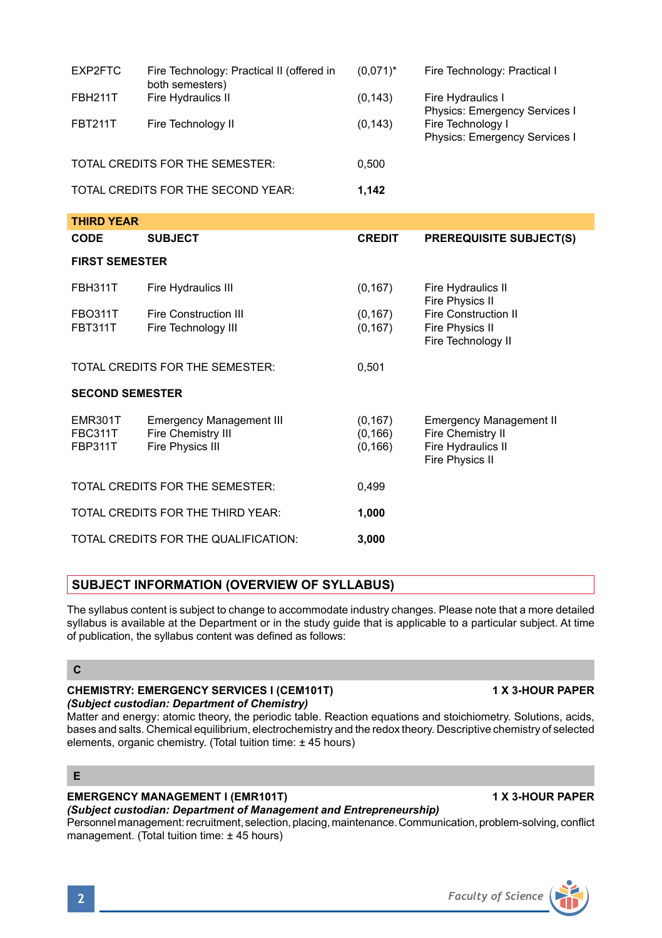| EXP2FTC                         | Fire Technology: Practical II (offered in<br>both semesters) | $(0.071)^*$ | Fire Technology: Practical I                              |
|---------------------------------|--------------------------------------------------------------|-------------|-----------------------------------------------------------|
| FBH211T                         | Fire Hydraulics II                                           | (0, 143)    | Fire Hydraulics I<br>Physics: Emergency Services I        |
| <b>FBT211T</b>                  | Fire Technology II                                           | (0, 143)    | Fire Technology I<br><b>Physics: Emergency Services I</b> |
| TOTAL CREDITS FOR THE SEMESTER: |                                                              | 0.500       |                                                           |
|                                 | TOTAL CREDITS FOR THE SECOND YEAR:                           | 1,142       |                                                           |

| <b>THIRD YEAR</b>                                  |                                                                           |                                  |                                                                                              |  |  |  |
|----------------------------------------------------|---------------------------------------------------------------------------|----------------------------------|----------------------------------------------------------------------------------------------|--|--|--|
| <b>CODE</b>                                        | <b>SUBJECT</b>                                                            | <b>CREDIT</b>                    | <b>PREREQUISITE SUBJECT(S)</b>                                                               |  |  |  |
| <b>FIRST SEMESTER</b>                              |                                                                           |                                  |                                                                                              |  |  |  |
| <b>FBH311T</b>                                     | Fire Hydraulics III                                                       | (0, 167)                         | Fire Hydraulics II<br>Fire Physics II                                                        |  |  |  |
| <b>FBO311T</b><br><b>FBT311T</b>                   | <b>Fire Construction III</b><br>Fire Technology III                       | (0, 167)<br>(0, 167)             | <b>Fire Construction II</b><br>Fire Physics II<br>Fire Technology II                         |  |  |  |
| TOTAL CREDITS FOR THE SEMESTER:                    |                                                                           | 0,501                            |                                                                                              |  |  |  |
| <b>SECOND SEMESTER</b>                             |                                                                           |                                  |                                                                                              |  |  |  |
| <b>EMR301T</b><br><b>FBC311T</b><br><b>FBP311T</b> | <b>Emergency Management III</b><br>Fire Chemistry III<br>Fire Physics III | (0, 167)<br>(0, 166)<br>(0, 166) | <b>Emergency Management II</b><br>Fire Chemistry II<br>Fire Hydraulics II<br>Fire Physics II |  |  |  |
| TOTAL CREDITS FOR THE SEMESTER:                    |                                                                           | 0,499                            |                                                                                              |  |  |  |
| TOTAL CREDITS FOR THE THIRD YEAR:                  |                                                                           | 1,000                            |                                                                                              |  |  |  |
|                                                    | TOTAL CREDITS FOR THE QUALIFICATION:                                      | 3,000                            |                                                                                              |  |  |  |

## **SUBJECT INFORMATION (OVERVIEW OF SYLLABUS)**

The syllabus content is subject to change to accommodate industry changes. Please note that a more detailed syllabus is available at the Department or in the study quide that is applicable to a particular subject. At time of publication, the syllabus content was defined as follows:

## **C**

### **CHEMISTRY: EMERGENCY SERVICES I (CEM101T) 1 X 3-HOUR PAPER** *(Subject custodian: Department of Chemistry)*

### Matter and energy: atomic theory, the periodic table. Reaction equations and stoichiometry. Solutions, acids, bases and salts. Chemical equilibrium, electrochemistry and the redox theory. Descriptive chemistry of selected elements, organic chemistry. (Total tuition time: ± 45 hours)

## **E**

# **EMERGENCY MANAGEMENT I (EMR101T) 1 X 3-HOUR PAPER**

## *(Subject custodian: Department of Management and Entrepreneurship)*

Personnel management: recruitment, selection, placing, maintenance. Communication, problem-solving, conflict management. (Total tuition time: ± 45 hours)

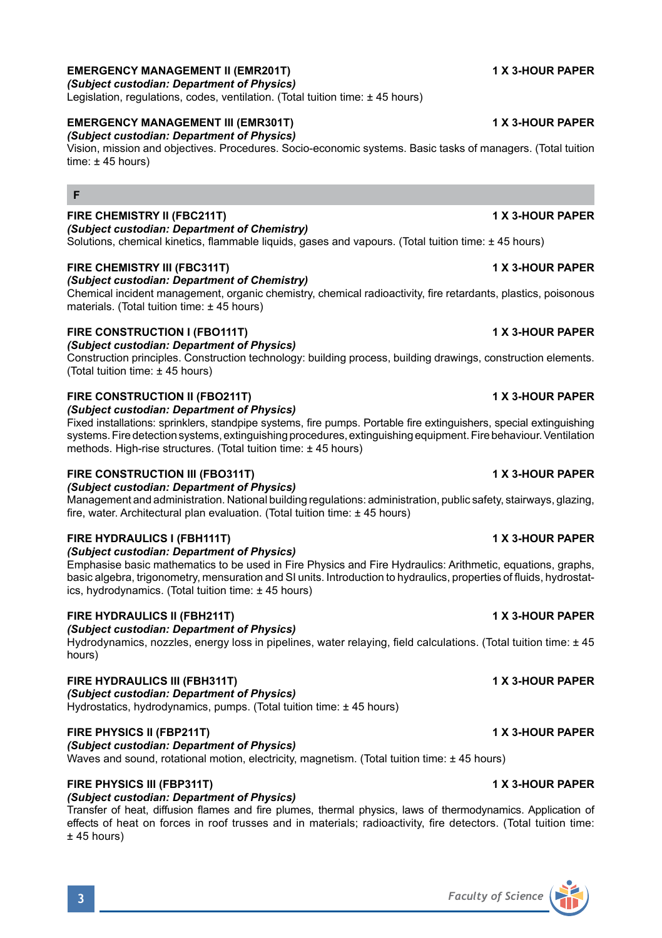## **EMERGENCY MANAGEMENT II (EMR201T) 1 X 3-HOUR PAPER**

*(Subject custodian: Department of Physics)*

Legislation, regulations, codes, ventilation, (Total tuition time: ±45 hours)

## **EMERGENCY MANAGEMENT III (EMR301T) 1 X 3-HOUR PAPER**

*(Subject custodian: Department of Physics)*

Vision, mission and objectives. Procedures. Socio-economic systems. Basic tasks of managers. (Total tuition time:  $\pm$  45 hours)

## **F**

## **FIRE CHEMISTRY II (FBC211T) 1 X 3-HOUR PAPER**

*(Subject custodian: Department of Chemistry)* Solutions, chemical kinetics, flammable liquids, gases and vapours. (Total tuition time: ± 45 hours)

## **FIRE CHEMISTRY III (FBC311T) 1 X 3-HOUR PAPER**

### *(Subject custodian: Department of Chemistry)*

Chemical incident management, organic chemistry, chemical radioactivity, fire retardants, plastics, poisonous materials. (Total tuition time: ± 45 hours)

### **FIRE CONSTRUCTION I (FBO111T) 1 X 3-HOUR PAPER**

*(Subject custodian: Department of Physics)*

Construction principles. Construction technology: building process, building drawings, construction elements. (Total tuition time: ± 45 hours)

### **FIRE CONSTRUCTION II (FBO211T) 1 X 3-HOUR PAPER**

*(Subject custodian: Department of Physics)*

Fixed installations: sprinklers, standpipe systems, fire pumps. Portable fire extinguishers, special extinguishing systems. Fire detection systems, extinguishing procedures, extinguishing equipment. Fire behaviour. Ventilation methods. High-rise structures. (Total tuition time: ± 45 hours)

## **FIRE CONSTRUCTION III (FBO311T) 1 X 3-HOUR PAPER**

*(Subject custodian: Department of Physics)*

Management and administration. National building regulations: administration, public safety, stairways, glazing, fire, water. Architectural plan evaluation. (Total tuition time: ± 45 hours)

### **FIRE HYDRAULICS I (FBH111T) 1 X 3-HOUR PAPER**

*(Subject custodian: Department of Physics)*

Emphasise basic mathematics to be used in Fire Physics and Fire Hydraulics: Arithmetic, equations, graphs, basic algebra, trigonometry, mensuration and SI units. Introduction to hydraulics, properties of fluids, hydrostatics, hydrodynamics. (Total tuition time: ± 45 hours)

### **FIRE HYDRAULICS II (FBH211T)** 1 X 3-HOUR PAPER

*(Subject custodian: Department of Physics)*

Hydrodynamics, nozzles, energy loss in pipelines, water relaying, field calculations. (Total tuition time: ± 45 hours)

## **FIRE HYDRAULICS III (FBH311T) 1 X 3-HOUR PAPER**

*(Subject custodian: Department of Physics)* Hydrostatics, hydrodynamics, pumps. (Total tuition time: ± 45 hours)

### **FIRE PHYSICS II (FBP211T) 1 X 3-HOUR PAPER**

*(Subject custodian: Department of Physics)* Waves and sound, rotational motion, electricity, magnetism. (Total tuition time: ± 45 hours)

## **FIRE PHYSICS III (FBP311T) 1 X 3-HOUR PAPER**

## *(Subject custodian: Department of Physics)*

Transfer of heat, diffusion flames and fire plumes, thermal physics, laws of thermodynamics. Application of effects of heat on forces in roof trusses and in materials; radioactivity, fire detectors. (Total tuition time: ± 45 hours)